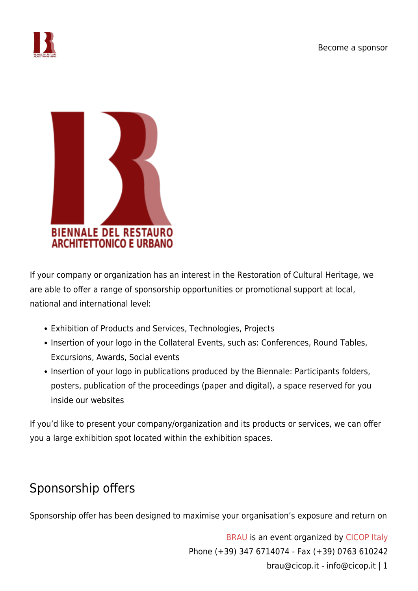



If your company or organization has an interest in the Restoration of Cultural Heritage, we are able to offer a range of sponsorship opportunities or promotional support at local, national and international level:

- Exhibition of Products and Services, Technologies, Projects
- Insertion of your logo in the Collateral Events, such as: Conferences, Round Tables, Excursions, Awards, Social events
- Insertion of your logo in publications produced by the Biennale: Participants folders, posters, publication of the proceedings (paper and digital), a space reserved for you inside our websites

If you'd like to present your company/organization and its products or services, we can offer you a large exhibition spot located within the exhibition spaces.

## Sponsorship offers

Sponsorship offer has been designed to maximise your organisation's exposure and return on

[BRAU](http://brau.cicop.it/) is an event organized by [CICOP Italy](http://cicop.it/) Phone (+39) 347 6714074 - Fax (+39) 0763 610242 brau@cicop.it - info@cicop.it | 1